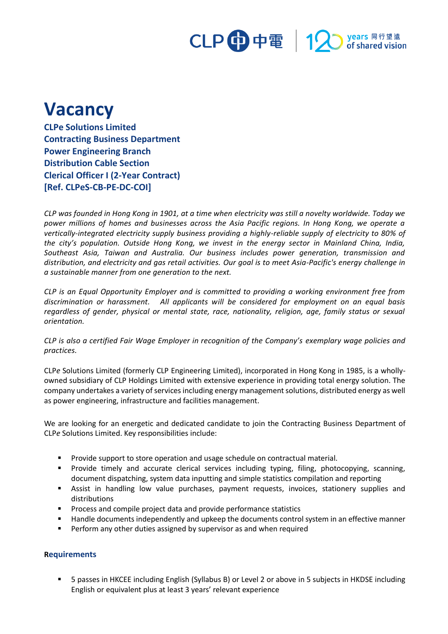

## **Vacancy**

**CLPe Solutions Limited Contracting Business Department Power Engineering Branch Distribution Cable Section Clerical Officer I (2-Year Contract) [Ref. CLPeS-CB-PE-DC-COI]**

*CLP was founded in Hong Kong in 1901, at a time when electricity was still a novelty worldwide. Today we power millions of homes and businesses across the Asia Pacific regions. In Hong Kong, we operate a vertically-integrated electricity supply business providing a highly-reliable supply of electricity to 80% of the city's population. Outside Hong Kong, we invest in the energy sector in Mainland China, India, Southeast Asia, Taiwan and Australia. Our business includes power generation, transmission and distribution, and electricity and gas retail activities. Our goal is to meet Asia-Pacific's energy challenge in a sustainable manner from one generation to the next.*

*CLP is an Equal Opportunity Employer and is committed to providing a working environment free from discrimination or harassment. All applicants will be considered for employment on an equal basis regardless of gender, physical or mental state, race, nationality, religion, age, family status or sexual orientation.*

*CLP is also a certified Fair Wage Employer in recognition of the Company's exemplary wage policies and practices.*

CLP*e* Solutions Limited (formerly CLP Engineering Limited), incorporated in Hong Kong in 1985, is a whollyowned subsidiary of CLP Holdings Limited with extensive experience in providing total energy solution. The company undertakes a variety of services including energy management solutions, distributed energy as well as power engineering, infrastructure and facilities management.

We are looking for an energetic and dedicated candidate to join the Contracting Business Department of CLP*e* Solutions Limited. Key responsibilities include:

- Provide support to store operation and usage schedule on contractual material.
- Provide timely and accurate clerical services including typing, filing, photocopying, scanning, document dispatching, system data inputting and simple statistics compilation and reporting
- Assist in handling low value purchases, payment requests, invoices, stationery supplies and distributions
- Process and compile project data and provide performance statistics
- Handle documents independently and upkeep the documents control system in an effective manner
- Perform any other duties assigned by supervisor as and when required

## **Requirements**

▪ 5 passes in HKCEE including English (Syllabus B) or Level 2 or above in 5 subjects in HKDSE including English or equivalent plus at least 3 years' relevant experience